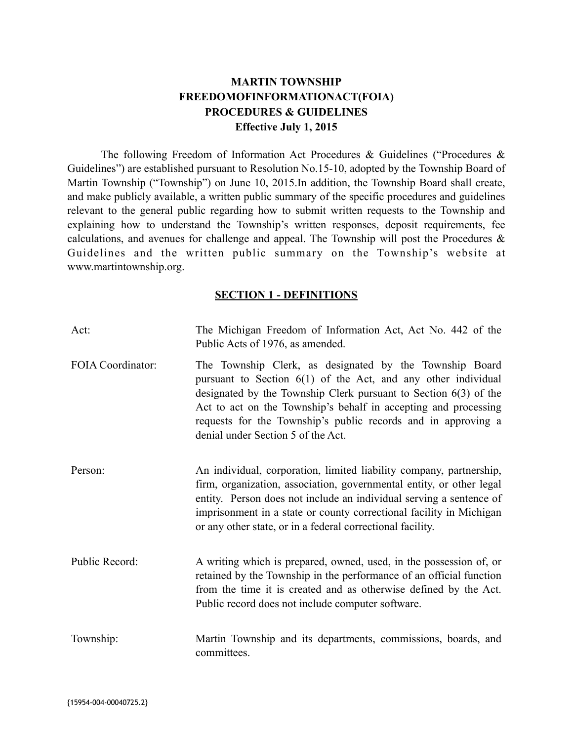# **MARTIN TOWNSHIP FREEDOMOFINFORMATIONACT(FOIA) PROCEDURES & GUIDELINES Effective July 1, 2015**

The following Freedom of Information Act Procedures & Guidelines ("Procedures & Guidelines") are established pursuant to Resolution No.15-10, adopted by the Township Board of Martin Township ("Township") on June 10, 2015.In addition, the Township Board shall create, and make publicly available, a written public summary of the specific procedures and guidelines relevant to the general public regarding how to submit written requests to the Township and explaining how to understand the Township's written responses, deposit requirements, fee calculations, and avenues for challenge and appeal. The Township will post the Procedures  $\&$ Guidelines and the written public summary on the Township's website at www.martintownship.org.

#### **SECTION 1 - DEFINITIONS**

| Act:              | The Michigan Freedom of Information Act, Act No. 442 of the<br>Public Acts of 1976, as amended.                                                                                                                                                                                                                                                                          |
|-------------------|--------------------------------------------------------------------------------------------------------------------------------------------------------------------------------------------------------------------------------------------------------------------------------------------------------------------------------------------------------------------------|
| FOIA Coordinator: | The Township Clerk, as designated by the Township Board<br>pursuant to Section 6(1) of the Act, and any other individual<br>designated by the Township Clerk pursuant to Section $6(3)$ of the<br>Act to act on the Township's behalf in accepting and processing<br>requests for the Township's public records and in approving a<br>denial under Section 5 of the Act. |
| Person:           | An individual, corporation, limited liability company, partnership,<br>firm, organization, association, governmental entity, or other legal<br>entity. Person does not include an individual serving a sentence of<br>imprisonment in a state or county correctional facility in Michigan<br>or any other state, or in a federal correctional facility.                  |
| Public Record:    | A writing which is prepared, owned, used, in the possession of, or<br>retained by the Township in the performance of an official function<br>from the time it is created and as otherwise defined by the Act.<br>Public record does not include computer software.                                                                                                       |
| Township:         | Martin Township and its departments, commissions, boards, and<br>committees.                                                                                                                                                                                                                                                                                             |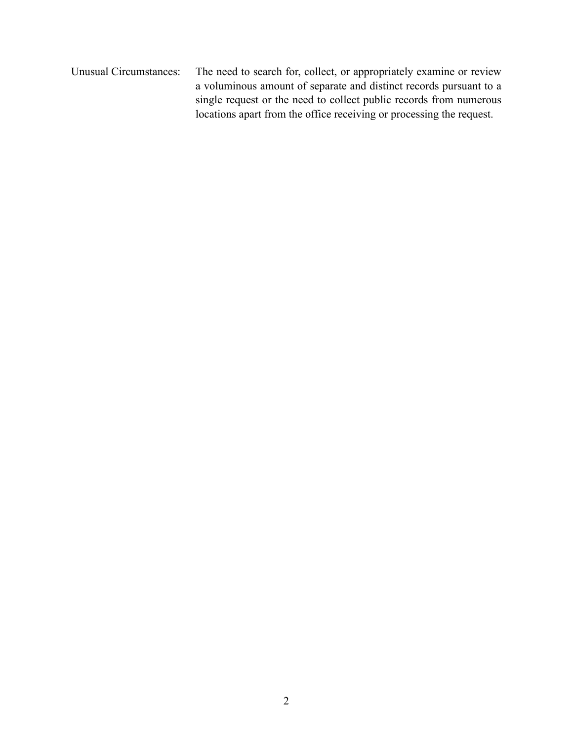Unusual Circumstances: The need to search for, collect, or appropriately examine or review a voluminous amount of separate and distinct records pursuant to a single request or the need to collect public records from numerous locations apart from the office receiving or processing the request.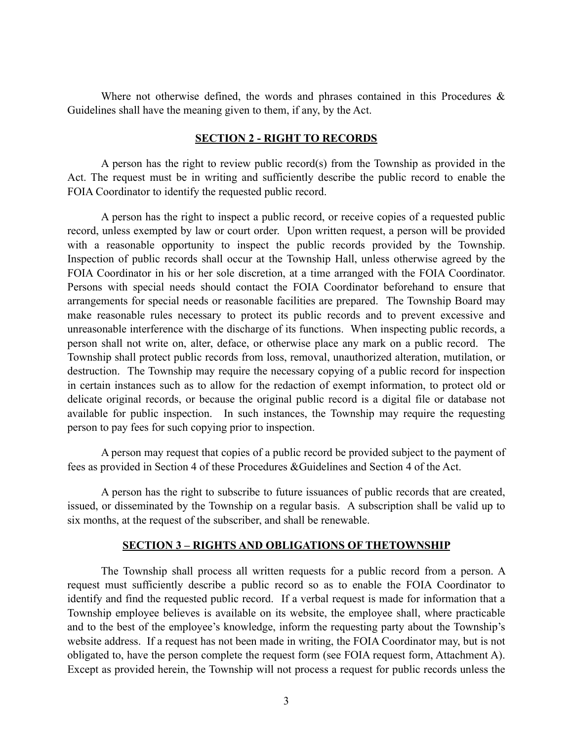Where not otherwise defined, the words and phrases contained in this Procedures  $\&$ Guidelines shall have the meaning given to them, if any, by the Act.

#### **SECTION 2 - RIGHT TO RECORDS**

A person has the right to review public record(s) from the Township as provided in the Act. The request must be in writing and sufficiently describe the public record to enable the FOIA Coordinator to identify the requested public record.

A person has the right to inspect a public record, or receive copies of a requested public record, unless exempted by law or court order. Upon written request, a person will be provided with a reasonable opportunity to inspect the public records provided by the Township. Inspection of public records shall occur at the Township Hall, unless otherwise agreed by the FOIA Coordinator in his or her sole discretion, at a time arranged with the FOIA Coordinator. Persons with special needs should contact the FOIA Coordinator beforehand to ensure that arrangements for special needs or reasonable facilities are prepared. The Township Board may make reasonable rules necessary to protect its public records and to prevent excessive and unreasonable interference with the discharge of its functions. When inspecting public records, a person shall not write on, alter, deface, or otherwise place any mark on a public record. The Township shall protect public records from loss, removal, unauthorized alteration, mutilation, or destruction. The Township may require the necessary copying of a public record for inspection in certain instances such as to allow for the redaction of exempt information, to protect old or delicate original records, or because the original public record is a digital file or database not available for public inspection. In such instances, the Township may require the requesting person to pay fees for such copying prior to inspection.

A person may request that copies of a public record be provided subject to the payment of fees as provided in Section 4 of these Procedures &Guidelines and Section 4 of the Act.

A person has the right to subscribe to future issuances of public records that are created, issued, or disseminated by the Township on a regular basis. A subscription shall be valid up to six months, at the request of the subscriber, and shall be renewable.

#### **SECTION 3 – RIGHTS AND OBLIGATIONS OF THETOWNSHIP**

The Township shall process all written requests for a public record from a person. A request must sufficiently describe a public record so as to enable the FOIA Coordinator to identify and find the requested public record. If a verbal request is made for information that a Township employee believes is available on its website, the employee shall, where practicable and to the best of the employee's knowledge, inform the requesting party about the Township's website address. If a request has not been made in writing, the FOIA Coordinator may, but is not obligated to, have the person complete the request form (see FOIA request form, Attachment A). Except as provided herein, the Township will not process a request for public records unless the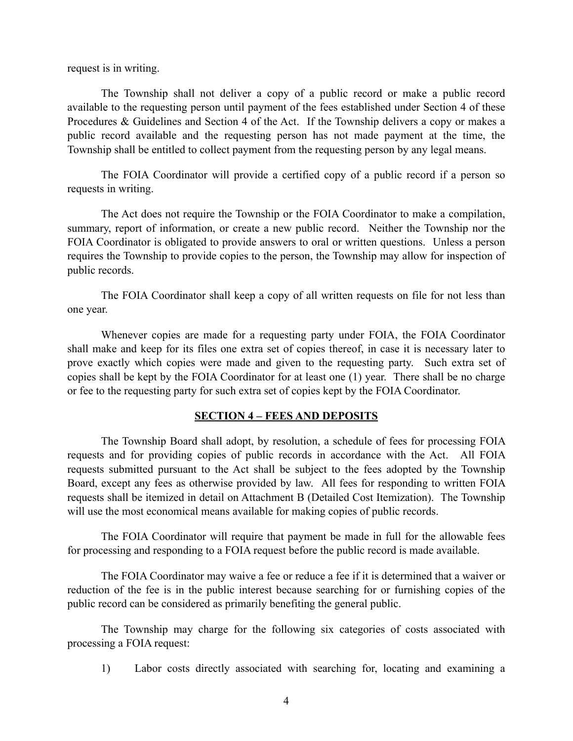request is in writing.

The Township shall not deliver a copy of a public record or make a public record available to the requesting person until payment of the fees established under Section 4 of these Procedures & Guidelines and Section 4 of the Act. If the Township delivers a copy or makes a public record available and the requesting person has not made payment at the time, the Township shall be entitled to collect payment from the requesting person by any legal means.

The FOIA Coordinator will provide a certified copy of a public record if a person so requests in writing.

The Act does not require the Township or the FOIA Coordinator to make a compilation, summary, report of information, or create a new public record. Neither the Township nor the FOIA Coordinator is obligated to provide answers to oral or written questions. Unless a person requires the Township to provide copies to the person, the Township may allow for inspection of public records.

The FOIA Coordinator shall keep a copy of all written requests on file for not less than one year.

Whenever copies are made for a requesting party under FOIA, the FOIA Coordinator shall make and keep for its files one extra set of copies thereof, in case it is necessary later to prove exactly which copies were made and given to the requesting party. Such extra set of copies shall be kept by the FOIA Coordinator for at least one (1) year. There shall be no charge or fee to the requesting party for such extra set of copies kept by the FOIA Coordinator.

#### **SECTION 4 – FEES AND DEPOSITS**

The Township Board shall adopt, by resolution, a schedule of fees for processing FOIA requests and for providing copies of public records in accordance with the Act. All FOIA requests submitted pursuant to the Act shall be subject to the fees adopted by the Township Board, except any fees as otherwise provided by law. All fees for responding to written FOIA requests shall be itemized in detail on Attachment B (Detailed Cost Itemization). The Township will use the most economical means available for making copies of public records.

The FOIA Coordinator will require that payment be made in full for the allowable fees for processing and responding to a FOIA request before the public record is made available.

The FOIA Coordinator may waive a fee or reduce a fee if it is determined that a waiver or reduction of the fee is in the public interest because searching for or furnishing copies of the public record can be considered as primarily benefiting the general public.

The Township may charge for the following six categories of costs associated with processing a FOIA request:

1) Labor costs directly associated with searching for, locating and examining a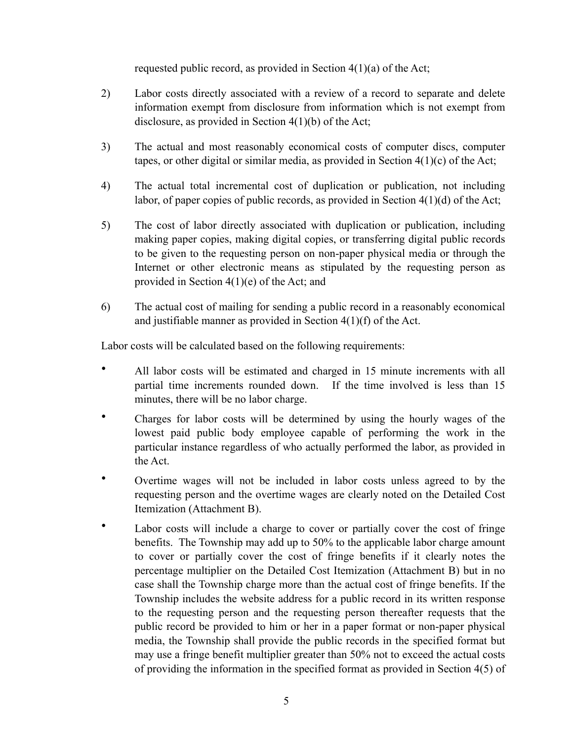requested public record, as provided in Section 4(1)(a) of the Act;

- 2) Labor costs directly associated with a review of a record to separate and delete information exempt from disclosure from information which is not exempt from disclosure, as provided in Section 4(1)(b) of the Act;
- 3) The actual and most reasonably economical costs of computer discs, computer tapes, or other digital or similar media, as provided in Section  $4(1)(c)$  of the Act;
- 4) The actual total incremental cost of duplication or publication, not including labor, of paper copies of public records, as provided in Section 4(1)(d) of the Act;
- 5) The cost of labor directly associated with duplication or publication, including making paper copies, making digital copies, or transferring digital public records to be given to the requesting person on non-paper physical media or through the Internet or other electronic means as stipulated by the requesting person as provided in Section 4(1)(e) of the Act; and
- 6) The actual cost of mailing for sending a public record in a reasonably economical and justifiable manner as provided in Section 4(1)(f) of the Act.

Labor costs will be calculated based on the following requirements:

- All labor costs will be estimated and charged in 15 minute increments with all partial time increments rounded down. If the time involved is less than 15 minutes, there will be no labor charge.
- Charges for labor costs will be determined by using the hourly wages of the lowest paid public body employee capable of performing the work in the particular instance regardless of who actually performed the labor, as provided in the Act.
- Overtime wages will not be included in labor costs unless agreed to by the requesting person and the overtime wages are clearly noted on the Detailed Cost Itemization (Attachment B).
- Labor costs will include a charge to cover or partially cover the cost of fringe benefits. The Township may add up to 50% to the applicable labor charge amount to cover or partially cover the cost of fringe benefits if it clearly notes the percentage multiplier on the Detailed Cost Itemization (Attachment B) but in no case shall the Township charge more than the actual cost of fringe benefits. If the Township includes the website address for a public record in its written response to the requesting person and the requesting person thereafter requests that the public record be provided to him or her in a paper format or non-paper physical media, the Township shall provide the public records in the specified format but may use a fringe benefit multiplier greater than 50% not to exceed the actual costs of providing the information in the specified format as provided in Section 4(5) of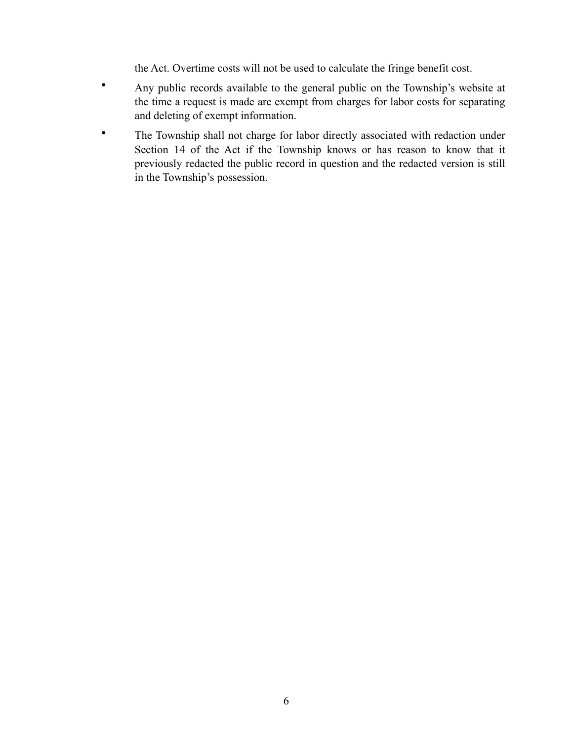the Act. Overtime costs will not be used to calculate the fringe benefit cost.

- Any public records available to the general public on the Township's website at the time a request is made are exempt from charges for labor costs for separating and deleting of exempt information.
- The Township shall not charge for labor directly associated with redaction under Section 14 of the Act if the Township knows or has reason to know that it previously redacted the public record in question and the redacted version is still in the Township's possession.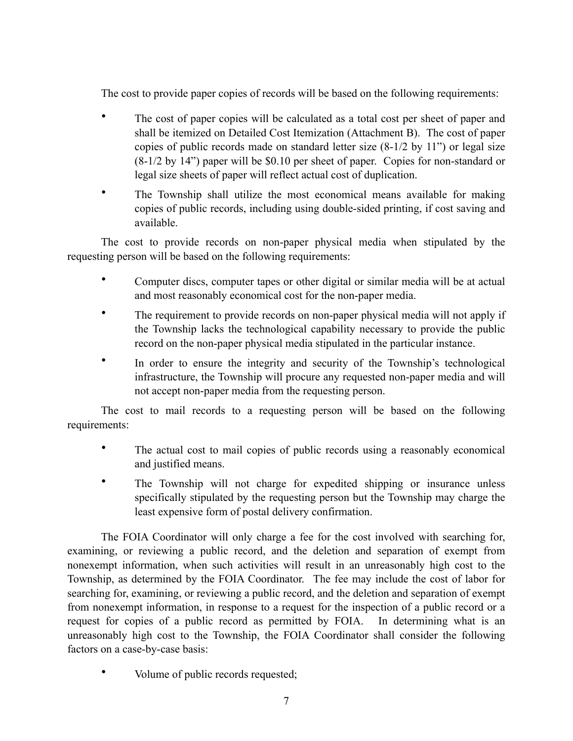The cost to provide paper copies of records will be based on the following requirements:

- The cost of paper copies will be calculated as a total cost per sheet of paper and shall be itemized on Detailed Cost Itemization (Attachment B). The cost of paper copies of public records made on standard letter size (8-1/2 by 11") or legal size (8-1/2 by 14") paper will be \$0.10 per sheet of paper. Copies for non-standard or legal size sheets of paper will reflect actual cost of duplication.
- The Township shall utilize the most economical means available for making copies of public records, including using double-sided printing, if cost saving and available.

The cost to provide records on non-paper physical media when stipulated by the requesting person will be based on the following requirements:

- Computer discs, computer tapes or other digital or similar media will be at actual and most reasonably economical cost for the non-paper media.
- The requirement to provide records on non-paper physical media will not apply if the Township lacks the technological capability necessary to provide the public record on the non-paper physical media stipulated in the particular instance.
- In order to ensure the integrity and security of the Township's technological infrastructure, the Township will procure any requested non-paper media and will not accept non-paper media from the requesting person.

The cost to mail records to a requesting person will be based on the following requirements:

- The actual cost to mail copies of public records using a reasonably economical and justified means.
- The Township will not charge for expedited shipping or insurance unless specifically stipulated by the requesting person but the Township may charge the least expensive form of postal delivery confirmation.

The FOIA Coordinator will only charge a fee for the cost involved with searching for, examining, or reviewing a public record, and the deletion and separation of exempt from nonexempt information, when such activities will result in an unreasonably high cost to the Township, as determined by the FOIA Coordinator. The fee may include the cost of labor for searching for, examining, or reviewing a public record, and the deletion and separation of exempt from nonexempt information, in response to a request for the inspection of a public record or a request for copies of a public record as permitted by FOIA. In determining what is an unreasonably high cost to the Township, the FOIA Coordinator shall consider the following factors on a case-by-case basis:

Volume of public records requested;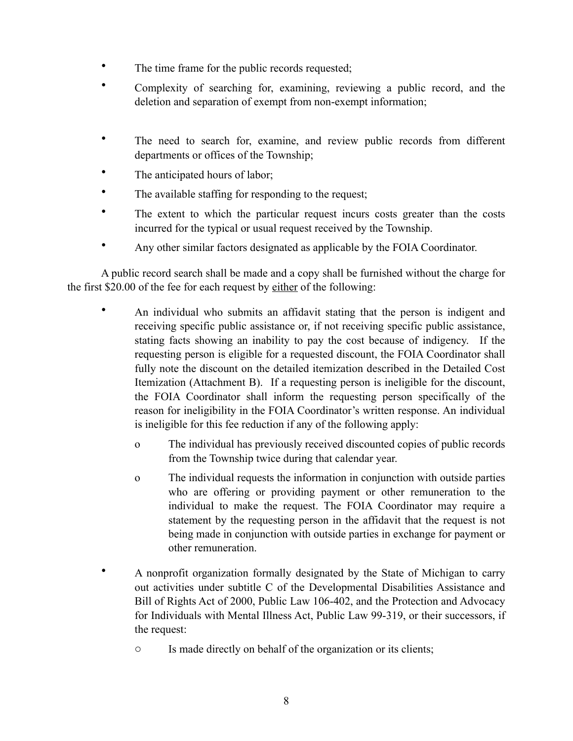- The time frame for the public records requested;
- Complexity of searching for, examining, reviewing a public record, and the deletion and separation of exempt from non-exempt information;
- The need to search for, examine, and review public records from different departments or offices of the Township;
- The anticipated hours of labor;
- The available staffing for responding to the request;
- The extent to which the particular request incurs costs greater than the costs incurred for the typical or usual request received by the Township.
- Any other similar factors designated as applicable by the FOIA Coordinator.

A public record search shall be made and a copy shall be furnished without the charge for the first \$20.00 of the fee for each request by either of the following:

- An individual who submits an affidavit stating that the person is indigent and receiving specific public assistance or, if not receiving specific public assistance, stating facts showing an inability to pay the cost because of indigency. If the requesting person is eligible for a requested discount, the FOIA Coordinator shall fully note the discount on the detailed itemization described in the Detailed Cost Itemization (Attachment B). If a requesting person is ineligible for the discount, the FOIA Coordinator shall inform the requesting person specifically of the reason for ineligibility in the FOIA Coordinator's written response. An individual is ineligible for this fee reduction if any of the following apply:
	- o The individual has previously received discounted copies of public records from the Township twice during that calendar year.
	- o The individual requests the information in conjunction with outside parties who are offering or providing payment or other remuneration to the individual to make the request. The FOIA Coordinator may require a statement by the requesting person in the affidavit that the request is not being made in conjunction with outside parties in exchange for payment or other remuneration.
- A nonprofit organization formally designated by the State of Michigan to carry out activities under subtitle C of the Developmental Disabilities Assistance and Bill of Rights Act of 2000, Public Law 106-402, and the Protection and Advocacy for Individuals with Mental Illness Act, Public Law 99-319, or their successors, if the request:
	- o Is made directly on behalf of the organization or its clients;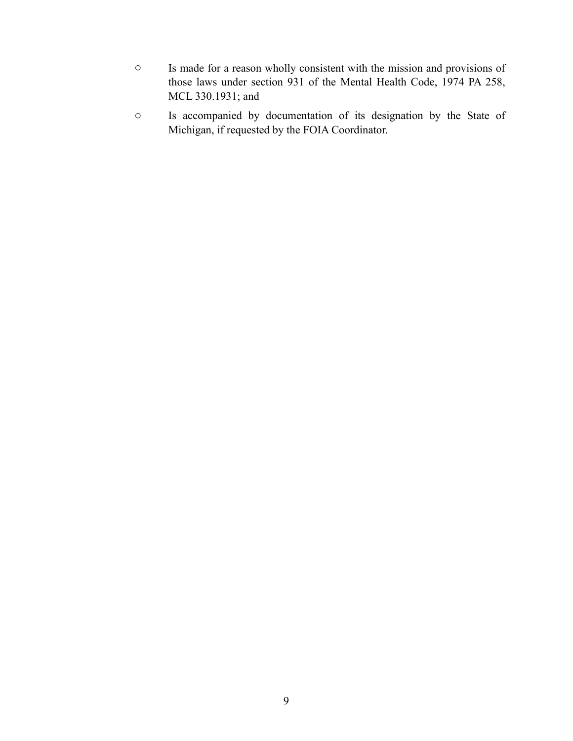- o Is made for a reason wholly consistent with the mission and provisions of those laws under section 931 of the Mental Health Code, 1974 PA 258, MCL 330.1931; and
- o Is accompanied by documentation of its designation by the State of Michigan, if requested by the FOIA Coordinator.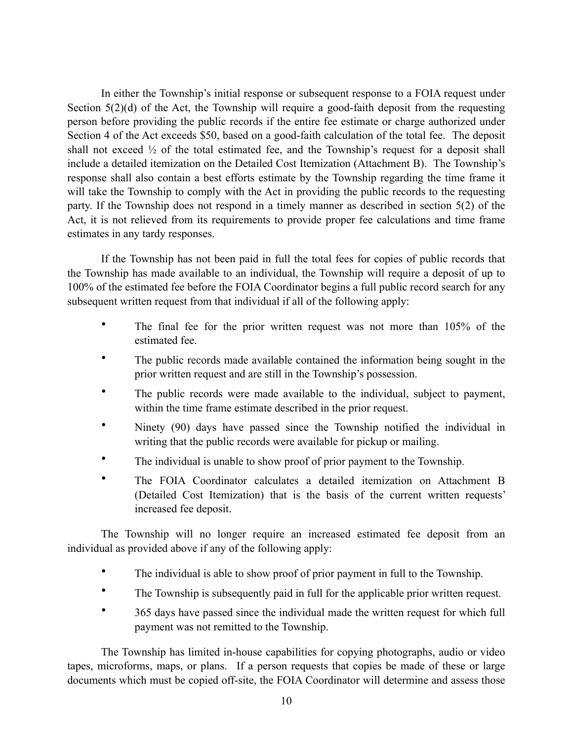In either the Township's initial response or subsequent response to a FOIA request under Section 5(2)(d) of the Act, the Township will require a good-faith deposit from the requesting person before providing the public records if the entire fee estimate or charge authorized under Section 4 of the Act exceeds \$50, based on a good-faith calculation of the total fee. The deposit shall not exceed  $\frac{1}{2}$  of the total estimated fee, and the Township's request for a deposit shall include a detailed itemization on the Detailed Cost Itemization (Attachment B). The Township's response shall also contain a best efforts estimate by the Township regarding the time frame it will take the Township to comply with the Act in providing the public records to the requesting party. If the Township does not respond in a timely manner as described in section 5(2) of the Act, it is not relieved from its requirements to provide proper fee calculations and time frame estimates in any tardy responses.

If the Township has not been paid in full the total fees for copies of public records that the Township has made available to an individual, the Township will require a deposit of up to 100% of the estimated fee before the FOIA Coordinator begins a full public record search for any subsequent written request from that individual if all of the following apply:

- The final fee for the prior written request was not more than 105% of the estimated fee.
- The public records made available contained the information being sought in the prior written request and are still in the Township's possession.
- The public records were made available to the individual, subject to payment, within the time frame estimate described in the prior request.
- Ninety (90) days have passed since the Township notified the individual in writing that the public records were available for pickup or mailing.
- The individual is unable to show proof of prior payment to the Township.
- The FOIA Coordinator calculates a detailed itemization on Attachment B (Detailed Cost Itemization) that is the basis of the current written requests' increased fee deposit.

The Township will no longer require an increased estimated fee deposit from an individual as provided above if any of the following apply:

- The individual is able to show proof of prior payment in full to the Township.
- The Township is subsequently paid in full for the applicable prior written request.
- 365 days have passed since the individual made the written request for which full payment was not remitted to the Township.

The Township has limited in-house capabilities for copying photographs, audio or video tapes, microforms, maps, or plans. If a person requests that copies be made of these or large documents which must be copied off-site, the FOIA Coordinator will determine and assess those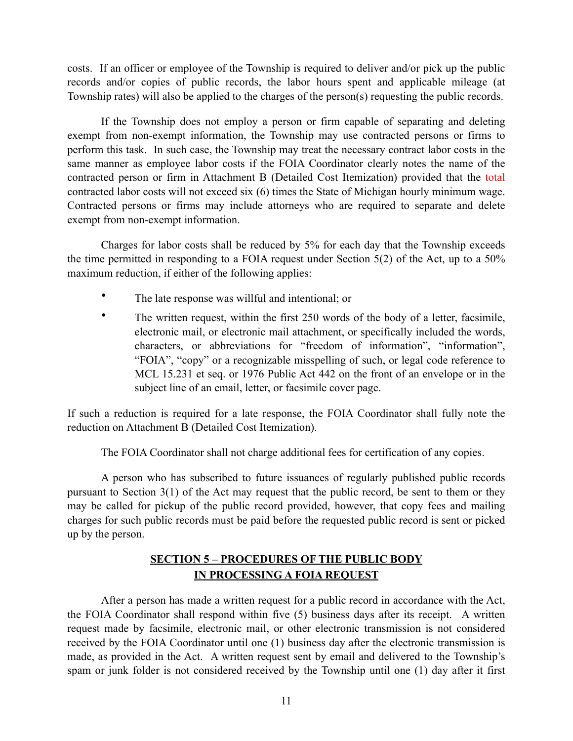costs. If an officer or employee of the Township is required to deliver and/or pick up the public records and/or copies of public records, the labor hours spent and applicable mileage (at Township rates) will also be applied to the charges of the person(s) requesting the public records.

If the Township does not employ a person or firm capable of separating and deleting exempt from non-exempt information, the Township may use contracted persons or firms to perform this task. In such case, the Township may treat the necessary contract labor costs in the same manner as employee labor costs if the FOIA Coordinator clearly notes the name of the contracted person or firm in Attachment B (Detailed Cost Itemization) provided that the total contracted labor costs will not exceed six (6) times the State of Michigan hourly minimum wage. Contracted persons or firms may include attorneys who are required to separate and delete exempt from non-exempt information.

Charges for labor costs shall be reduced by 5% for each day that the Township exceeds the time permitted in responding to a FOIA request under Section 5(2) of the Act, up to a 50% maximum reduction, if either of the following applies:

- The late response was willful and intentional; or
- The written request, within the first 250 words of the body of a letter, facsimile, electronic mail, or electronic mail attachment, or specifically included the words, characters, or abbreviations for "freedom of information", "information", "FOIA", "copy" or a recognizable misspelling of such, or legal code reference to MCL 15.231 et seq. or 1976 Public Act 442 on the front of an envelope or in the subject line of an email, letter, or facsimile cover page.

If such a reduction is required for a late response, the FOIA Coordinator shall fully note the reduction on Attachment B (Detailed Cost Itemization).

The FOIA Coordinator shall not charge additional fees for certification of any copies.

A person who has subscribed to future issuances of regularly published public records pursuant to Section 3(1) of the Act may request that the public record, be sent to them or they may be called for pickup of the public record provided, however, that copy fees and mailing charges for such public records must be paid before the requested public record is sent or picked up by the person.

# **SECTION 5 – PROCEDURES OF THE PUBLIC BODY IN PROCESSING A FOIA REQUEST**

After a person has made a written request for a public record in accordance with the Act, the FOIA Coordinator shall respond within five (5) business days after its receipt. A written request made by facsimile, electronic mail, or other electronic transmission is not considered received by the FOIA Coordinator until one (1) business day after the electronic transmission is made, as provided in the Act. A written request sent by email and delivered to the Township's spam or junk folder is not considered received by the Township until one (1) day after it first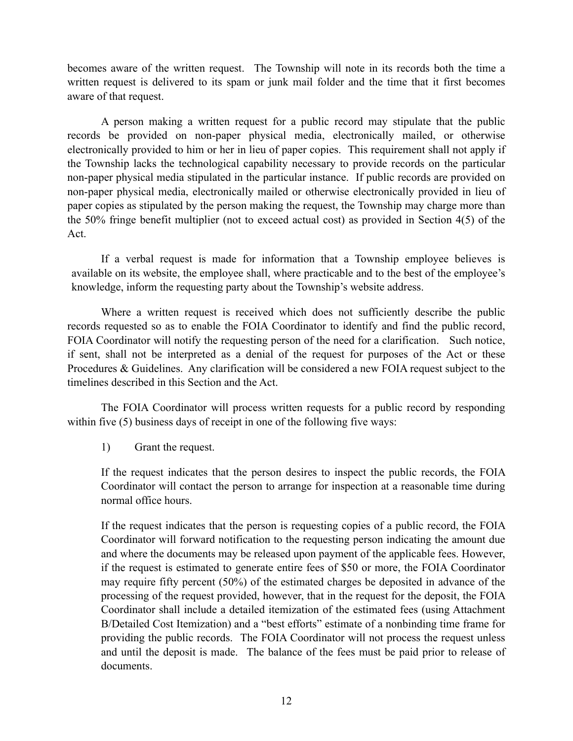becomes aware of the written request. The Township will note in its records both the time a written request is delivered to its spam or junk mail folder and the time that it first becomes aware of that request.

A person making a written request for a public record may stipulate that the public records be provided on non-paper physical media, electronically mailed, or otherwise electronically provided to him or her in lieu of paper copies. This requirement shall not apply if the Township lacks the technological capability necessary to provide records on the particular non-paper physical media stipulated in the particular instance. If public records are provided on non-paper physical media, electronically mailed or otherwise electronically provided in lieu of paper copies as stipulated by the person making the request, the Township may charge more than the 50% fringe benefit multiplier (not to exceed actual cost) as provided in Section 4(5) of the Act.

If a verbal request is made for information that a Township employee believes is available on its website, the employee shall, where practicable and to the best of the employee's knowledge, inform the requesting party about the Township's website address.

Where a written request is received which does not sufficiently describe the public records requested so as to enable the FOIA Coordinator to identify and find the public record, FOIA Coordinator will notify the requesting person of the need for a clarification. Such notice, if sent, shall not be interpreted as a denial of the request for purposes of the Act or these Procedures & Guidelines. Any clarification will be considered a new FOIA request subject to the timelines described in this Section and the Act.

The FOIA Coordinator will process written requests for a public record by responding within five (5) business days of receipt in one of the following five ways:

1) Grant the request.

If the request indicates that the person desires to inspect the public records, the FOIA Coordinator will contact the person to arrange for inspection at a reasonable time during normal office hours.

If the request indicates that the person is requesting copies of a public record, the FOIA Coordinator will forward notification to the requesting person indicating the amount due and where the documents may be released upon payment of the applicable fees. However, if the request is estimated to generate entire fees of \$50 or more, the FOIA Coordinator may require fifty percent (50%) of the estimated charges be deposited in advance of the processing of the request provided, however, that in the request for the deposit, the FOIA Coordinator shall include a detailed itemization of the estimated fees (using Attachment B/Detailed Cost Itemization) and a "best efforts" estimate of a nonbinding time frame for providing the public records. The FOIA Coordinator will not process the request unless and until the deposit is made. The balance of the fees must be paid prior to release of documents.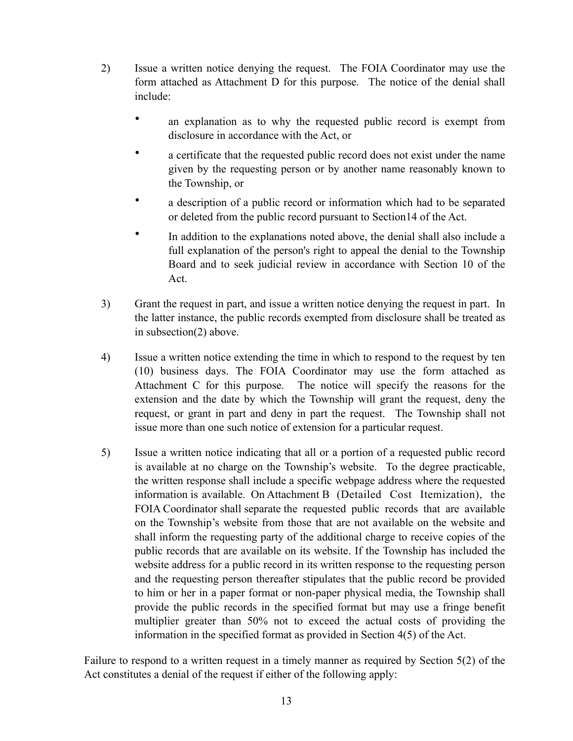- 2) Issue a written notice denying the request. The FOIA Coordinator may use the form attached as Attachment D for this purpose. The notice of the denial shall include:
	- an explanation as to why the requested public record is exempt from disclosure in accordance with the Act, or
	- a certificate that the requested public record does not exist under the name given by the requesting person or by another name reasonably known to the Township, or
	- a description of a public record or information which had to be separated or deleted from the public record pursuant to Section14 of the Act.
	- In addition to the explanations noted above, the denial shall also include a full explanation of the person's right to appeal the denial to the Township Board and to seek judicial review in accordance with Section 10 of the Act.
- 3) Grant the request in part, and issue a written notice denying the request in part. In the latter instance, the public records exempted from disclosure shall be treated as in subsection(2) above.
- 4) Issue a written notice extending the time in which to respond to the request by ten (10) business days. The FOIA Coordinator may use the form attached as Attachment C for this purpose. The notice will specify the reasons for the extension and the date by which the Township will grant the request, deny the request, or grant in part and deny in part the request. The Township shall not issue more than one such notice of extension for a particular request.
- 5) Issue a written notice indicating that all or a portion of a requested public record is available at no charge on the Township's website. To the degree practicable, the written response shall include a specific webpage address where the requested information is available. On Attachment B (Detailed Cost Itemization), the FOIA Coordinator shall separate the requested public records that are available on the Township's website from those that are not available on the website and shall inform the requesting party of the additional charge to receive copies of the public records that are available on its website. If the Township has included the website address for a public record in its written response to the requesting person and the requesting person thereafter stipulates that the public record be provided to him or her in a paper format or non-paper physical media, the Township shall provide the public records in the specified format but may use a fringe benefit multiplier greater than 50% not to exceed the actual costs of providing the information in the specified format as provided in Section 4(5) of the Act.

Failure to respond to a written request in a timely manner as required by Section 5(2) of the Act constitutes a denial of the request if either of the following apply: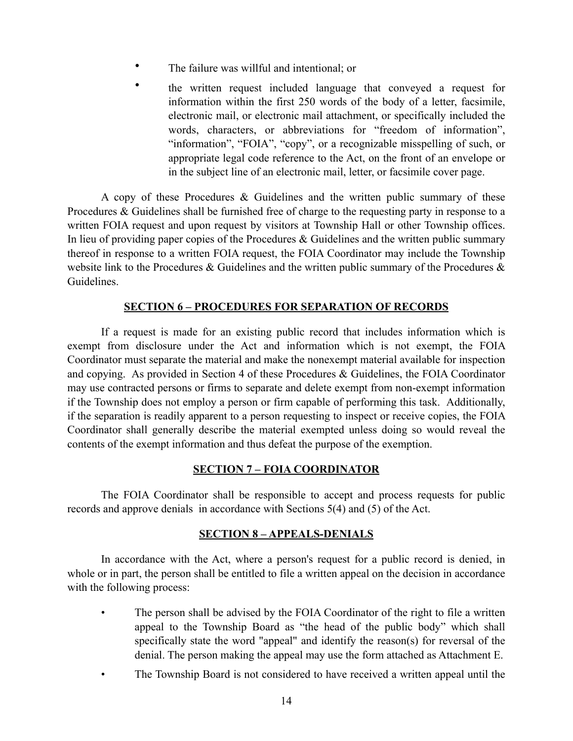- The failure was willful and intentional; or
- the written request included language that conveyed a request for information within the first 250 words of the body of a letter, facsimile, electronic mail, or electronic mail attachment, or specifically included the words, characters, or abbreviations for "freedom of information", "information", "FOIA", "copy", or a recognizable misspelling of such, or appropriate legal code reference to the Act, on the front of an envelope or in the subject line of an electronic mail, letter, or facsimile cover page.

A copy of these Procedures & Guidelines and the written public summary of these Procedures & Guidelines shall be furnished free of charge to the requesting party in response to a written FOIA request and upon request by visitors at Township Hall or other Township offices. In lieu of providing paper copies of the Procedures  $\&$  Guidelines and the written public summary thereof in response to a written FOIA request, the FOIA Coordinator may include the Township website link to the Procedures & Guidelines and the written public summary of the Procedures & Guidelines.

## **SECTION 6 – PROCEDURES FOR SEPARATION OF RECORDS**

If a request is made for an existing public record that includes information which is exempt from disclosure under the Act and information which is not exempt, the FOIA Coordinator must separate the material and make the nonexempt material available for inspection and copying. As provided in Section 4 of these Procedures & Guidelines, the FOIA Coordinator may use contracted persons or firms to separate and delete exempt from non-exempt information if the Township does not employ a person or firm capable of performing this task. Additionally, if the separation is readily apparent to a person requesting to inspect or receive copies, the FOIA Coordinator shall generally describe the material exempted unless doing so would reveal the contents of the exempt information and thus defeat the purpose of the exemption.

## **SECTION 7 – FOIA COORDINATOR**

The FOIA Coordinator shall be responsible to accept and process requests for public records and approve denials in accordance with Sections 5(4) and (5) of the Act.

## **SECTION 8 – APPEALS-DENIALS**

In accordance with the Act, where a person's request for a public record is denied, in whole or in part, the person shall be entitled to file a written appeal on the decision in accordance with the following process:

- The person shall be advised by the FOIA Coordinator of the right to file a written appeal to the Township Board as "the head of the public body" which shall specifically state the word "appeal" and identify the reason(s) for reversal of the denial. The person making the appeal may use the form attached as Attachment E.
- The Township Board is not considered to have received a written appeal until the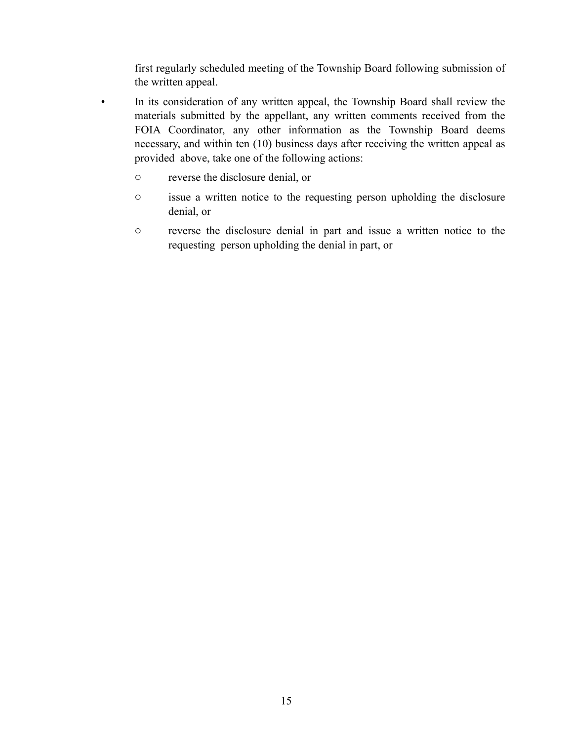first regularly scheduled meeting of the Township Board following submission of the written appeal.

- In its consideration of any written appeal, the Township Board shall review the materials submitted by the appellant, any written comments received from the FOIA Coordinator, any other information as the Township Board deems necessary, and within ten (10) business days after receiving the written appeal as provided above, take one of the following actions:
	- o reverse the disclosure denial, or
	- o issue a written notice to the requesting person upholding the disclosure denial, or
	- o reverse the disclosure denial in part and issue a written notice to the requesting person upholding the denial in part, or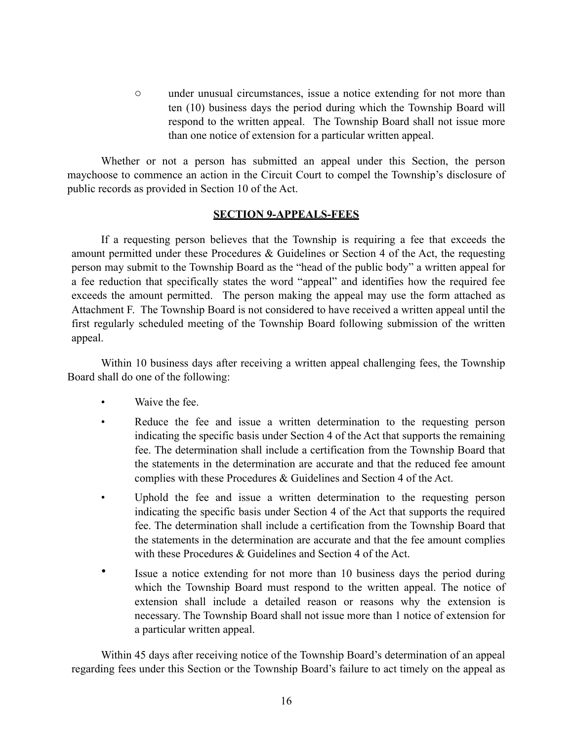o under unusual circumstances, issue a notice extending for not more than ten (10) business days the period during which the Township Board will respond to the written appeal. The Township Board shall not issue more than one notice of extension for a particular written appeal.

Whether or not a person has submitted an appeal under this Section, the person maychoose to commence an action in the Circuit Court to compel the Township's disclosure of public records as provided in Section 10 of the Act.

### **SECTION 9-APPEALS-FEES**

 If a requesting person believes that the Township is requiring a fee that exceeds the amount permitted under these Procedures & Guidelines or Section 4 of the Act, the requesting person may submit to the Township Board as the "head of the public body" a written appeal for a fee reduction that specifically states the word "appeal" and identifies how the required fee exceeds the amount permitted. The person making the appeal may use the form attached as Attachment F. The Township Board is not considered to have received a written appeal until the first regularly scheduled meeting of the Township Board following submission of the written appeal.

 Within 10 business days after receiving a written appeal challenging fees, the Township Board shall do one of the following:

- Waive the fee.
- Reduce the fee and issue a written determination to the requesting person indicating the specific basis under Section 4 of the Act that supports the remaining fee. The determination shall include a certification from the Township Board that the statements in the determination are accurate and that the reduced fee amount complies with these Procedures & Guidelines and Section 4 of the Act.
- Uphold the fee and issue a written determination to the requesting person indicating the specific basis under Section 4 of the Act that supports the required fee. The determination shall include a certification from the Township Board that the statements in the determination are accurate and that the fee amount complies with these Procedures  $\&$  Guidelines and Section 4 of the Act.
- Issue a notice extending for not more than 10 business days the period during which the Township Board must respond to the written appeal. The notice of extension shall include a detailed reason or reasons why the extension is necessary. The Township Board shall not issue more than 1 notice of extension for a particular written appeal.

Within 45 days after receiving notice of the Township Board's determination of an appeal regarding fees under this Section or the Township Board's failure to act timely on the appeal as